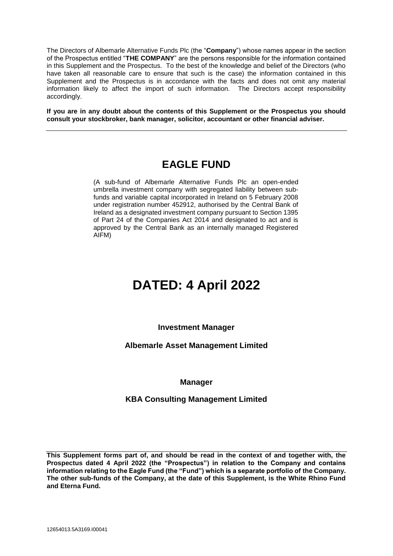The Directors of Albemarle Alternative Funds Plc (the "**Company**") whose names appear in the section of the Prospectus entitled "**THE COMPANY**" are the persons responsible for the information contained in this Supplement and the Prospectus. To the best of the knowledge and belief of the Directors (who have taken all reasonable care to ensure that such is the case) the information contained in this Supplement and the Prospectus is in accordance with the facts and does not omit any material information likely to affect the import of such information. The Directors accept responsibility accordingly.

**If you are in any doubt about the contents of this Supplement or the Prospectus you should consult your stockbroker, bank manager, solicitor, accountant or other financial adviser.**

## **EAGLE FUND**

(A sub-fund of Albemarle Alternative Funds Plc an open-ended umbrella investment company with segregated liability between subfunds and variable capital incorporated in Ireland on 5 February 2008 under registration number 452912, authorised by the Central Bank of Ireland as a designated investment company pursuant to Section 1395 of Part 24 of the Companies Act 2014 and designated to act and is approved by the Central Bank as an internally managed Registered AIFM)

# **DATED: 4 April 2022**

## **Investment Manager**

## **Albemarle Asset Management Limited**

## **Manager**

## **KBA Consulting Management Limited**

**This Supplement forms part of, and should be read in the context of and together with, the Prospectus dated 4 April 2022 (the "Prospectus") in relation to the Company and contains information relating to the Eagle Fund (the "Fund") which is a separate portfolio of the Company. The other sub-funds of the Company, at the date of this Supplement, is the White Rhino Fund and Eterna Fund.**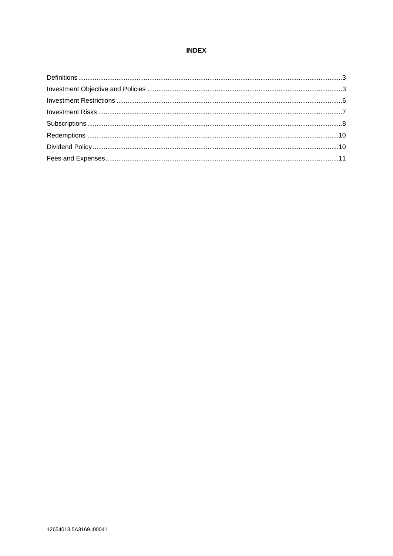## **INDEX**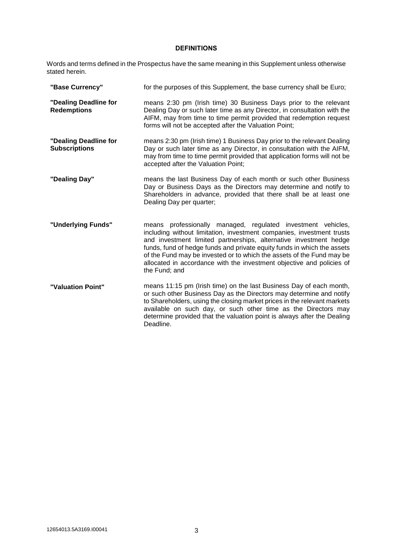## **DEFINITIONS**

Words and terms defined in the Prospectus have the same meaning in this Supplement unless otherwise stated herein.

| "Base Currency"                               | for the purposes of this Supplement, the base currency shall be Euro;                                                                                                                                                                                                                                                                                                                                                                                       |
|-----------------------------------------------|-------------------------------------------------------------------------------------------------------------------------------------------------------------------------------------------------------------------------------------------------------------------------------------------------------------------------------------------------------------------------------------------------------------------------------------------------------------|
| "Dealing Deadline for<br><b>Redemptions</b>   | means 2:30 pm (Irish time) 30 Business Days prior to the relevant<br>Dealing Day or such later time as any Director, in consultation with the<br>AIFM, may from time to time permit provided that redemption request<br>forms will not be accepted after the Valuation Point;                                                                                                                                                                               |
| "Dealing Deadline for<br><b>Subscriptions</b> | means 2:30 pm (Irish time) 1 Business Day prior to the relevant Dealing<br>Day or such later time as any Director, in consultation with the AIFM,<br>may from time to time permit provided that application forms will not be<br>accepted after the Valuation Point;                                                                                                                                                                                        |
| "Dealing Day"                                 | means the last Business Day of each month or such other Business<br>Day or Business Days as the Directors may determine and notify to<br>Shareholders in advance, provided that there shall be at least one<br>Dealing Day per quarter;                                                                                                                                                                                                                     |
| "Underlying Funds"                            | professionally managed, regulated investment vehicles,<br>means<br>including without limitation, investment companies, investment trusts<br>and investment limited partnerships, alternative investment hedge<br>funds, fund of hedge funds and private equity funds in which the assets<br>of the Fund may be invested or to which the assets of the Fund may be<br>allocated in accordance with the investment objective and policies of<br>the Fund; and |
| "Valuation Point"                             | means 11:15 pm (Irish time) on the last Business Day of each month,<br>or such other Business Day as the Directors may determine and notify<br>to Shareholders, using the closing market prices in the relevant markets<br>available on such day, or such other time as the Directors may<br>determine provided that the valuation point is always after the Dealing<br>Deadline.                                                                           |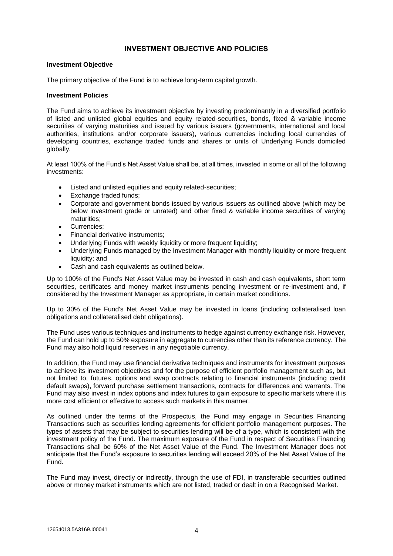## **INVESTMENT OBJECTIVE AND POLICIES**

#### **Investment Objective**

The primary objective of the Fund is to achieve long-term capital growth.

#### **Investment Policies**

The Fund aims to achieve its investment objective by investing predominantly in a diversified portfolio of listed and unlisted global equities and equity related-securities, bonds, fixed & variable income securities of varying maturities and issued by various issuers (governments, international and local authorities, institutions and/or corporate issuers), various currencies including local currencies of developing countries, exchange traded funds and shares or units of Underlying Funds domiciled globally.

At least 100% of the Fund's Net Asset Value shall be, at all times, invested in some or all of the following investments:

- Listed and unlisted equities and equity related-securities;
- Exchange traded funds;
- Corporate and government bonds issued by various issuers as outlined above (which may be below investment grade or unrated) and other fixed & variable income securities of varying maturities;
- Currencies;
- Financial derivative instruments;
- Underlying Funds with weekly liquidity or more frequent liquidity;
- Underlying Funds managed by the Investment Manager with monthly liquidity or more frequent liquidity; and
- Cash and cash equivalents as outlined below.

Up to 100% of the Fund's Net Asset Value may be invested in cash and cash equivalents, short term securities, certificates and money market instruments pending investment or re-investment and, if considered by the Investment Manager as appropriate, in certain market conditions.

Up to 30% of the Fund's Net Asset Value may be invested in loans (including collateralised loan obligations and collateralised debt obligations).

The Fund uses various techniques and instruments to hedge against currency exchange risk. However, the Fund can hold up to 50% exposure in aggregate to currencies other than its reference currency. The Fund may also hold liquid reserves in any negotiable currency.

In addition, the Fund may use financial derivative techniques and instruments for investment purposes to achieve its investment objectives and for the purpose of efficient portfolio management such as, but not limited to, futures, options and swap contracts relating to financial instruments (including credit default swaps), forward purchase settlement transactions, contracts for differences and warrants. The Fund may also invest in index options and index futures to gain exposure to specific markets where it is more cost efficient or effective to access such markets in this manner.

As outlined under the terms of the Prospectus, the Fund may engage in Securities Financing Transactions such as securities lending agreements for efficient portfolio management purposes. The types of assets that may be subject to securities lending will be of a type, which is consistent with the investment policy of the Fund. The maximum exposure of the Fund in respect of Securities Financing Transactions shall be 60% of the Net Asset Value of the Fund. The Investment Manager does not anticipate that the Fund's exposure to securities lending will exceed 20% of the Net Asset Value of the Fund.

The Fund may invest, directly or indirectly, through the use of FDI, in transferable securities outlined above or money market instruments which are not listed, traded or dealt in on a Recognised Market.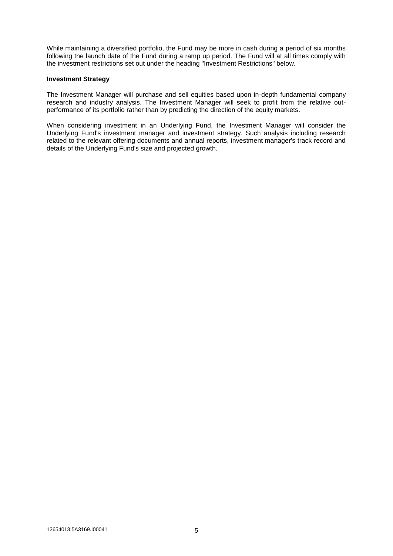While maintaining a diversified portfolio, the Fund may be more in cash during a period of six months following the launch date of the Fund during a ramp up period. The Fund will at all times comply with the investment restrictions set out under the heading "Investment Restrictions" below.

#### **Investment Strategy**

The Investment Manager will purchase and sell equities based upon in-depth fundamental company research and industry analysis. The Investment Manager will seek to profit from the relative outperformance of its portfolio rather than by predicting the direction of the equity markets.

When considering investment in an Underlying Fund, the Investment Manager will consider the Underlying Fund's investment manager and investment strategy. Such analysis including research related to the relevant offering documents and annual reports, investment manager's track record and details of the Underlying Fund's size and projected growth.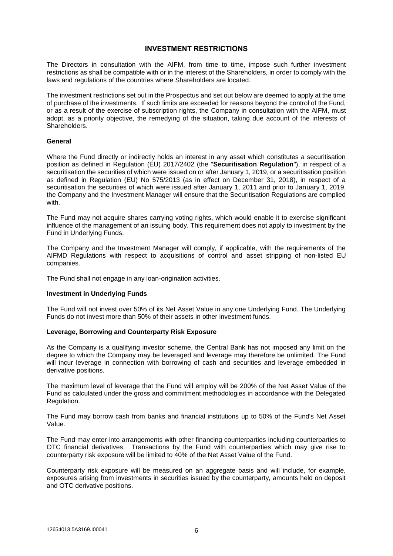## **INVESTMENT RESTRICTIONS**

The Directors in consultation with the AIFM, from time to time, impose such further investment restrictions as shall be compatible with or in the interest of the Shareholders, in order to comply with the laws and regulations of the countries where Shareholders are located.

The investment restrictions set out in the Prospectus and set out below are deemed to apply at the time of purchase of the investments. If such limits are exceeded for reasons beyond the control of the Fund, or as a result of the exercise of subscription rights, the Company in consultation with the AIFM, must adopt, as a priority objective, the remedying of the situation, taking due account of the interests of Shareholders.

#### **General**

Where the Fund directly or indirectly holds an interest in any asset which constitutes a securitisation position as defined in Regulation (EU) 2017/2402 (the "**Securitisation Regulation**"), in respect of a securitisation the securities of which were issued on or after January 1, 2019, or a securitisation position as defined in Regulation (EU) No 575/2013 (as in effect on December 31, 2018), in respect of a securitisation the securities of which were issued after January 1, 2011 and prior to January 1, 2019, the Company and the Investment Manager will ensure that the Securitisation Regulations are complied with.

The Fund may not acquire shares carrying voting rights, which would enable it to exercise significant influence of the management of an issuing body. This requirement does not apply to investment by the Fund in Underlying Funds.

The Company and the Investment Manager will comply, if applicable, with the requirements of the AIFMD Regulations with respect to acquisitions of control and asset stripping of non-listed EU companies.

The Fund shall not engage in any loan-origination activities.

#### **Investment in Underlying Funds**

The Fund will not invest over 50% of its Net Asset Value in any one Underlying Fund. The Underlying Funds do not invest more than 50% of their assets in other investment funds.

#### **Leverage, Borrowing and Counterparty Risk Exposure**

As the Company is a qualifying investor scheme, the Central Bank has not imposed any limit on the degree to which the Company may be leveraged and leverage may therefore be unlimited. The Fund will incur leverage in connection with borrowing of cash and securities and leverage embedded in derivative positions.

The maximum level of leverage that the Fund will employ will be 200% of the Net Asset Value of the Fund as calculated under the gross and commitment methodologies in accordance with the Delegated Regulation.

The Fund may borrow cash from banks and financial institutions up to 50% of the Fund's Net Asset Value.

The Fund may enter into arrangements with other financing counterparties including counterparties to OTC financial derivatives. Transactions by the Fund with counterparties which may give rise to counterparty risk exposure will be limited to 40% of the Net Asset Value of the Fund.

Counterparty risk exposure will be measured on an aggregate basis and will include, for example, exposures arising from investments in securities issued by the counterparty, amounts held on deposit and OTC derivative positions.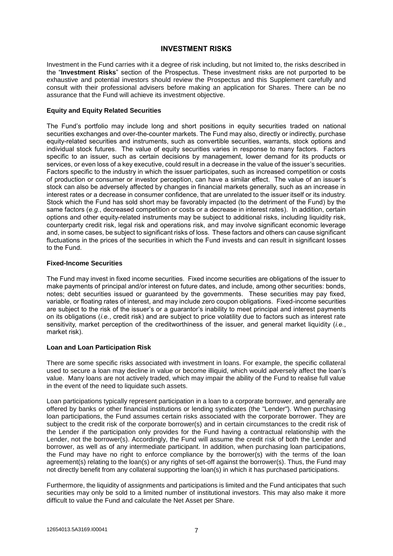## **INVESTMENT RISKS**

Investment in the Fund carries with it a degree of risk including, but not limited to, the risks described in the "**Investment Risks**" section of the Prospectus. These investment risks are not purported to be exhaustive and potential investors should review the Prospectus and this Supplement carefully and consult with their professional advisers before making an application for Shares. There can be no assurance that the Fund will achieve its investment objective.

#### **Equity and Equity Related Securities**

The Fund's portfolio may include long and short positions in equity securities traded on national securities exchanges and over-the-counter markets. The Fund may also, directly or indirectly, purchase equity-related securities and instruments, such as convertible securities, warrants, stock options and individual stock futures. The value of equity securities varies in response to many factors. Factors specific to an issuer, such as certain decisions by management, lower demand for its products or services, or even loss of a key executive, could result in a decrease in the value of the issuer's securities. Factors specific to the industry in which the issuer participates, such as increased competition or costs of production or consumer or investor perception, can have a similar effect. The value of an issuer's stock can also be adversely affected by changes in financial markets generally, such as an increase in interest rates or a decrease in consumer confidence, that are unrelated to the issuer itself or its industry. Stock which the Fund has sold short may be favorably impacted (to the detriment of the Fund) by the same factors (*e.g.*, decreased competition or costs or a decrease in interest rates). In addition, certain options and other equity-related instruments may be subject to additional risks, including liquidity risk, counterparty credit risk, legal risk and operations risk, and may involve significant economic leverage and, in some cases, be subject to significant risks of loss. These factors and others can cause significant fluctuations in the prices of the securities in which the Fund invests and can result in significant losses to the Fund.

#### **Fixed-Income Securities**

The Fund may invest in fixed income securities. Fixed income securities are obligations of the issuer to make payments of principal and/or interest on future dates, and include, among other securities: bonds, notes; debt securities issued or guaranteed by the governments. These securities may pay fixed, variable, or floating rates of interest, and may include zero coupon obligations. Fixed-income securities are subject to the risk of the issuer's or a guarantor's inability to meet principal and interest payments on its obligations (*i.e.*, credit risk) and are subject to price volatility due to factors such as interest rate sensitivity, market perception of the creditworthiness of the issuer, and general market liquidity (*i.e.*, market risk).

## **Loan and Loan Participation Risk**

There are some specific risks associated with investment in loans. For example, the specific collateral used to secure a loan may decline in value or become illiquid, which would adversely affect the loan's value. Many loans are not actively traded, which may impair the ability of the Fund to realise full value in the event of the need to liquidate such assets.

Loan participations typically represent participation in a loan to a corporate borrower, and generally are offered by banks or other financial institutions or lending syndicates (the "Lender"). When purchasing loan participations, the Fund assumes certain risks associated with the corporate borrower. They are subject to the credit risk of the corporate borrower(s) and in certain circumstances to the credit risk of the Lender if the participation only provides for the Fund having a contractual relationship with the Lender, not the borrower(s). Accordingly, the Fund will assume the credit risk of both the Lender and borrower, as well as of any intermediate participant. In addition, when purchasing loan participations, the Fund may have no right to enforce compliance by the borrower(s) with the terms of the loan agreement(s) relating to the loan(s) or any rights of set-off against the borrower(s). Thus, the Fund may not directly benefit from any collateral supporting the loan(s) in which it has purchased participations.

Furthermore, the liquidity of assignments and participations is limited and the Fund anticipates that such securities may only be sold to a limited number of institutional investors. This may also make it more difficult to value the Fund and calculate the Net Asset per Share.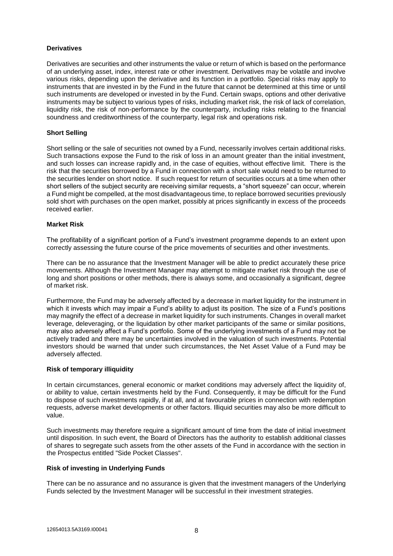## **Derivatives**

Derivatives are securities and other instruments the value or return of which is based on the performance of an underlying asset, index, interest rate or other investment. Derivatives may be volatile and involve various risks, depending upon the derivative and its function in a portfolio. Special risks may apply to instruments that are invested in by the Fund in the future that cannot be determined at this time or until such instruments are developed or invested in by the Fund. Certain swaps, options and other derivative instruments may be subject to various types of risks, including market risk, the risk of lack of correlation, liquidity risk, the risk of non-performance by the counterparty, including risks relating to the financial soundness and creditworthiness of the counterparty, legal risk and operations risk.

## **Short Selling**

Short selling or the sale of securities not owned by a Fund, necessarily involves certain additional risks. Such transactions expose the Fund to the risk of loss in an amount greater than the initial investment, and such losses can increase rapidly and, in the case of equities, without effective limit. There is the risk that the securities borrowed by a Fund in connection with a short sale would need to be returned to the securities lender on short notice. If such request for return of securities occurs at a time when other short sellers of the subject security are receiving similar requests, a "short squeeze" can occur, wherein a Fund might be compelled, at the most disadvantageous time, to replace borrowed securities previously sold short with purchases on the open market, possibly at prices significantly in excess of the proceeds received earlier.

#### **Market Risk**

The profitability of a significant portion of a Fund's investment programme depends to an extent upon correctly assessing the future course of the price movements of securities and other investments.

There can be no assurance that the Investment Manager will be able to predict accurately these price movements. Although the Investment Manager may attempt to mitigate market risk through the use of long and short positions or other methods, there is always some, and occasionally a significant, degree of market risk.

Furthermore, the Fund may be adversely affected by a decrease in market liquidity for the instrument in which it invests which may impair a Fund's ability to adjust its position. The size of a Fund's positions may magnify the effect of a decrease in market liquidity for such instruments. Changes in overall market leverage, deleveraging, or the liquidation by other market participants of the same or similar positions, may also adversely affect a Fund's portfolio. Some of the underlying investments of a Fund may not be actively traded and there may be uncertainties involved in the valuation of such investments. Potential investors should be warned that under such circumstances, the Net Asset Value of a Fund may be adversely affected.

#### **Risk of temporary illiquidity**

In certain circumstances, general economic or market conditions may adversely affect the liquidity of, or ability to value, certain investments held by the Fund. Consequently, it may be difficult for the Fund to dispose of such investments rapidly, if at all, and at favourable prices in connection with redemption requests, adverse market developments or other factors. Illiquid securities may also be more difficult to value.

Such investments may therefore require a significant amount of time from the date of initial investment until disposition. In such event, the Board of Directors has the authority to establish additional classes of shares to segregate such assets from the other assets of the Fund in accordance with the section in the Prospectus entitled "Side Pocket Classes".

#### **Risk of investing in Underlying Funds**

There can be no assurance and no assurance is given that the investment managers of the Underlying Funds selected by the Investment Manager will be successful in their investment strategies.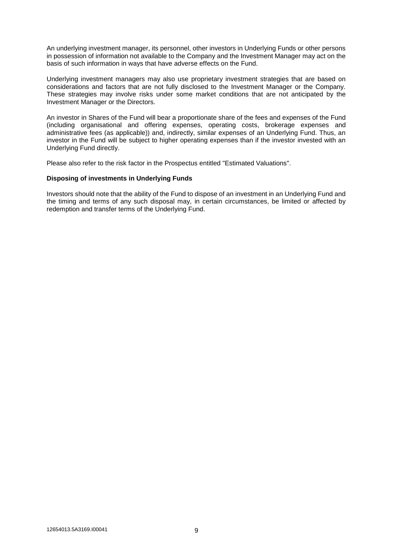An underlying investment manager, its personnel, other investors in Underlying Funds or other persons in possession of information not available to the Company and the Investment Manager may act on the basis of such information in ways that have adverse effects on the Fund.

Underlying investment managers may also use proprietary investment strategies that are based on considerations and factors that are not fully disclosed to the Investment Manager or the Company. These strategies may involve risks under some market conditions that are not anticipated by the Investment Manager or the Directors.

An investor in Shares of the Fund will bear a proportionate share of the fees and expenses of the Fund (including organisational and offering expenses, operating costs, brokerage expenses and administrative fees (as applicable)) and, indirectly, similar expenses of an Underlying Fund. Thus, an investor in the Fund will be subject to higher operating expenses than if the investor invested with an Underlying Fund directly.

Please also refer to the risk factor in the Prospectus entitled "Estimated Valuations".

#### **Disposing of investments in Underlying Funds**

Investors should note that the ability of the Fund to dispose of an investment in an Underlying Fund and the timing and terms of any such disposal may, in certain circumstances, be limited or affected by redemption and transfer terms of the Underlying Fund.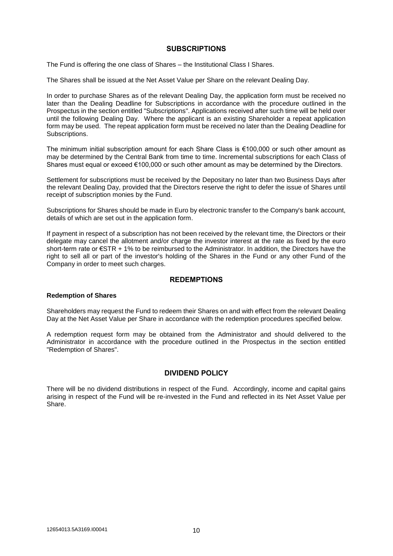## **SUBSCRIPTIONS**

The Fund is offering the one class of Shares – the Institutional Class I Shares.

The Shares shall be issued at the Net Asset Value per Share on the relevant Dealing Day.

In order to purchase Shares as of the relevant Dealing Day, the application form must be received no later than the Dealing Deadline for Subscriptions in accordance with the procedure outlined in the Prospectus in the section entitled "Subscriptions". Applications received after such time will be held over until the following Dealing Day. Where the applicant is an existing Shareholder a repeat application form may be used. The repeat application form must be received no later than the Dealing Deadline for Subscriptions.

The minimum initial subscription amount for each Share Class is  $\epsilon$ 100,000 or such other amount as may be determined by the Central Bank from time to time. Incremental subscriptions for each Class of Shares must equal or exceed €100,000 or such other amount as may be determined by the Directors.

Settlement for subscriptions must be received by the Depositary no later than two Business Days after the relevant Dealing Day, provided that the Directors reserve the right to defer the issue of Shares until receipt of subscription monies by the Fund.

Subscriptions for Shares should be made in Euro by electronic transfer to the Company's bank account, details of which are set out in the application form.

If payment in respect of a subscription has not been received by the relevant time, the Directors or their delegate may cancel the allotment and/or charge the investor interest at the rate as fixed by the euro short-term rate or €STR + 1% to be reimbursed to the Administrator. In addition, the Directors have the right to sell all or part of the investor's holding of the Shares in the Fund or any other Fund of the Company in order to meet such charges.

## **REDEMPTIONS**

## **Redemption of Shares**

Shareholders may request the Fund to redeem their Shares on and with effect from the relevant Dealing Day at the Net Asset Value per Share in accordance with the redemption procedures specified below.

A redemption request form may be obtained from the Administrator and should delivered to the Administrator in accordance with the procedure outlined in the Prospectus in the section entitled "Redemption of Shares".

## **DIVIDEND POLICY**

There will be no dividend distributions in respect of the Fund. Accordingly, income and capital gains arising in respect of the Fund will be re-invested in the Fund and reflected in its Net Asset Value per Share.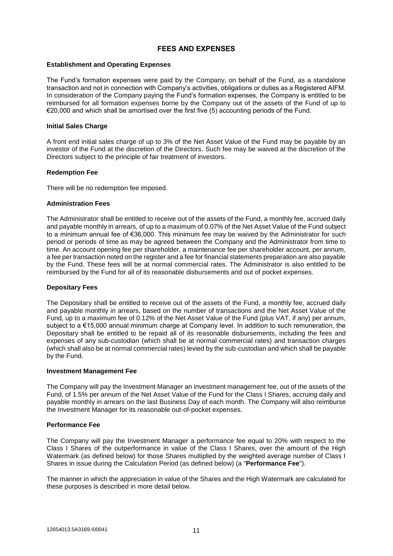## **FEES AND EXPENSES**

#### **Establishment and Operating Expenses**

The Fund's formation expenses were paid by the Company, on behalf of the Fund, as a standalone transaction and not in connection with Company's activities, obligations or duties as a Registered AIFM. In consideration of the Company paying the Fund's formation expenses, the Company is entitled to be reimbursed for all formation expenses borne by the Company out of the assets of the Fund of up to €20,000 and which shall be amortised over the first five (5) accounting periods of the Fund.

#### **Initial Sales Charge**

A front end initial sales charge of up to 3% of the Net Asset Value of the Fund may be payable by an investor of the Fund at the discretion of the Directors. Such fee may be waived at the discretion of the Directors subject to the principle of fair treatment of investors.

#### **Redemption Fee**

There will be no redemption fee imposed.

#### **Administration Fees**

The Administrator shall be entitled to receive out of the assets of the Fund, a monthly fee, accrued daily and payable monthly in arrears, of up to a maximum of 0.07% of the Net Asset Value of the Fund subject to a minimum annual fee of €36,000. This minimum fee may be waived by the Administrator for such period or periods of time as may be agreed between the Company and the Administrator from time to time. An account opening fee per shareholder, a maintenance fee per shareholder account, per annum, a fee per transaction noted on the register and a fee for financial statements preparation are also payable by the Fund. These fees will be at normal commercial rates. The Administrator is also entitled to be reimbursed by the Fund for all of its reasonable disbursements and out of pocket expenses.

#### **Depositary Fees**

The Depositary shall be entitled to receive out of the assets of the Fund, a monthly fee, accrued daily and payable monthly in arrears, based on the number of transactions and the Net Asset Value of the Fund, up to a maximum fee of 0.12% of the Net Asset Value of the Fund (plus VAT, if any) per annum, subject to a €15,000 annual minimum charge at Company level. In addition to such remuneration, the Depositary shall be entitled to be repaid all of its reasonable disbursements, including the fees and expenses of any sub-custodian (which shall be at normal commercial rates) and transaction charges (which shall also be at normal commercial rates) levied by the sub-custodian and which shall be payable by the Fund.

#### **Investment Management Fee**

The Company will pay the Investment Manager an investment management fee, out of the assets of the Fund, of 1.5% per annum of the Net Asset Value of the Fund for the Class I Shares, accruing daily and payable monthly in arrears on the last Business Day of each month. The Company will also reimburse the Investment Manager for its reasonable out-of-pocket expenses.

## **Performance Fee**

The Company will pay the Investment Manager a performance fee equal to 20% with respect to the Class I Shares of the outperformance in value of the Class I Shares, over the amount of the High Watermark (as defined below) for those Shares multiplied by the weighted average number of Class I Shares in issue during the Calculation Period (as defined below) (a "**Performance Fee**").

The manner in which the appreciation in value of the Shares and the High Watermark are calculated for these purposes is described in more detail below.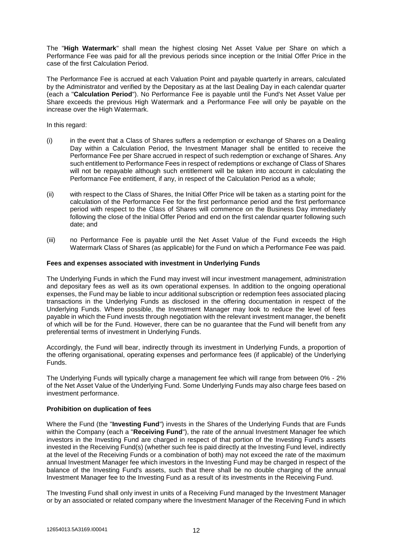The "**High Watermark**" shall mean the highest closing Net Asset Value per Share on which a Performance Fee was paid for all the previous periods since inception or the Initial Offer Price in the case of the first Calculation Period.

The Performance Fee is accrued at each Valuation Point and payable quarterly in arrears, calculated by the Administrator and verified by the Depositary as at the last Dealing Day in each calendar quarter (each a "**Calculation Period**"). No Performance Fee is payable until the Fund's Net Asset Value per Share exceeds the previous High Watermark and a Performance Fee will only be payable on the increase over the High Watermark.

In this regard:

- (i) in the event that a Class of Shares suffers a redemption or exchange of Shares on a Dealing Day within a Calculation Period, the Investment Manager shall be entitled to receive the Performance Fee per Share accrued in respect of such redemption or exchange of Shares. Any such entitlement to Performance Fees in respect of redemptions or exchange of Class of Shares will not be repayable although such entitlement will be taken into account in calculating the Performance Fee entitlement, if any, in respect of the Calculation Period as a whole:
- (ii) with respect to the Class of Shares, the Initial Offer Price will be taken as a starting point for the calculation of the Performance Fee for the first performance period and the first performance period with respect to the Class of Shares will commence on the Business Day immediately following the close of the Initial Offer Period and end on the first calendar quarter following such date; and
- (iii) no Performance Fee is payable until the Net Asset Value of the Fund exceeds the High Watermark Class of Shares (as applicable) for the Fund on which a Performance Fee was paid.

#### **Fees and expenses associated with investment in Underlying Funds**

The Underlying Funds in which the Fund may invest will incur investment management, administration and depositary fees as well as its own operational expenses. In addition to the ongoing operational expenses, the Fund may be liable to incur additional subscription or redemption fees associated placing transactions in the Underlying Funds as disclosed in the offering documentation in respect of the Underlying Funds. Where possible, the Investment Manager may look to reduce the level of fees payable in which the Fund invests through negotiation with the relevant investment manager, the benefit of which will be for the Fund. However, there can be no guarantee that the Fund will benefit from any preferential terms of investment in Underlying Funds.

Accordingly, the Fund will bear, indirectly through its investment in Underlying Funds, a proportion of the offering organisational, operating expenses and performance fees (if applicable) of the Underlying Funds.

The Underlying Funds will typically charge a management fee which will range from between 0% - 2% of the Net Asset Value of the Underlying Fund. Some Underlying Funds may also charge fees based on investment performance.

#### **Prohibition on duplication of fees**

Where the Fund (the "**Investing Fund**") invests in the Shares of the Underlying Funds that are Funds within the Company (each a "**Receiving Fund**"), the rate of the annual Investment Manager fee which investors in the Investing Fund are charged in respect of that portion of the Investing Fund's assets invested in the Receiving Fund(s) (whether such fee is paid directly at the Investing Fund level, indirectly at the level of the Receiving Funds or a combination of both) may not exceed the rate of the maximum annual Investment Manager fee which investors in the Investing Fund may be charged in respect of the balance of the Investing Fund's assets, such that there shall be no double charging of the annual Investment Manager fee to the Investing Fund as a result of its investments in the Receiving Fund.

The Investing Fund shall only invest in units of a Receiving Fund managed by the Investment Manager or by an associated or related company where the Investment Manager of the Receiving Fund in which